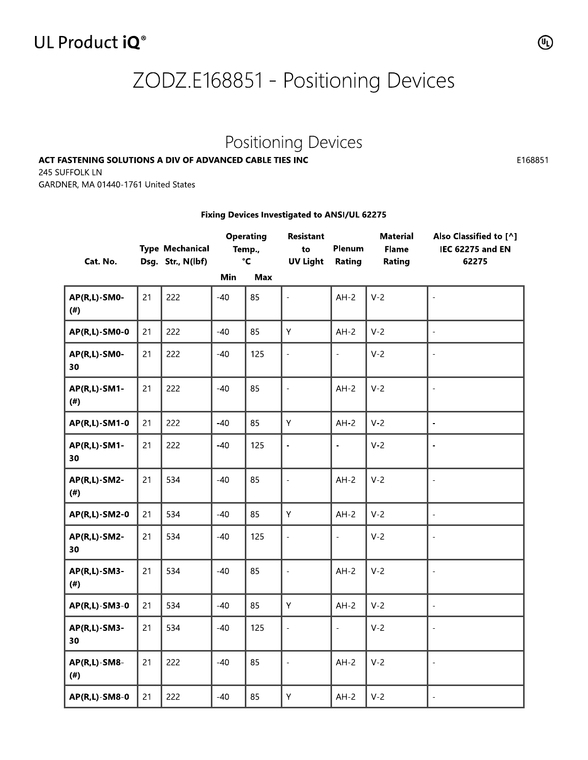### UL Product iQ<sup>®</sup>

# ZODZ.E168851 - Positioning Devices

## Positioning Devices

#### ACT FASTENING SOLUTIONS A DIV OF ADVANCED CABLE TIES INC

#### Fixing Devices Investigated to ANSI/UL 62275

| 245 SUFFOLK LN<br>GARDNER, MA 01440-1761 United States |    | ACT FASTENING SOLUTIONS A DIV OF ADVANCED CABLE TIES INC |       |                                                   | Positioning Devices                                                                |                  |                                           |                                                            |
|--------------------------------------------------------|----|----------------------------------------------------------|-------|---------------------------------------------------|------------------------------------------------------------------------------------|------------------|-------------------------------------------|------------------------------------------------------------|
| Cat. No.                                               |    | <b>Type Mechanical</b><br>Dsg. Str., N(lbf)              | Min   | <b>Operating</b><br>Temp.,<br>$\mathbf{C}$<br>Max | Fixing Devices Investigated to ANSI/UL 62275<br>Resistant<br>to<br><b>UV Light</b> | Plenum<br>Rating | <b>Material</b><br><b>Flame</b><br>Rating | Also Classified to [^]<br><b>IEC 62275 and EN</b><br>62275 |
| <b>AP(R,L)-SM0-</b><br>$($ # $)$                       | 21 | 222                                                      | $-40$ | 85                                                | $\overline{a}$                                                                     | $AH-2$           | $V-2$                                     | ÷,                                                         |
| AP(R,L)-SM0-0                                          | 21 | 222                                                      | $-40$ | 85                                                | Υ                                                                                  | $AH-2$           | $V-2$                                     | $\blacksquare$                                             |
| AP(R,L)-SM0-<br>30                                     | 21 | 222                                                      | $-40$ | 125                                               | $\frac{1}{2}$                                                                      |                  | $V-2$                                     | $\overline{\phantom{a}}$                                   |
| AP(R,L)-SM1-<br>(# )                                   | 21 | 222                                                      | $-40$ | 85                                                | $\overline{a}$                                                                     | $AH-2$           | $V-2$                                     | $\overline{a}$                                             |
| AP(R,L)-SM1-0                                          | 21 | 222                                                      | $-40$ | 85                                                | Υ                                                                                  | $AH-2$           | $V-2$                                     | $\overline{\phantom{a}}$                                   |
| AP(R,L)-SM1-<br>30                                     | 21 | 222                                                      | $-40$ | 125                                               | $\overline{a}$                                                                     | $\overline{a}$   | $V-2$                                     | ÷,                                                         |
| AP(R,L)-SM2-<br>$($ # $)$                              | 21 | 534                                                      | $-40$ | 85                                                | $\blacksquare$                                                                     | $AH-2$           | $V-2$                                     | $\bar{a}$                                                  |
| AP(R,L)-SM2-0                                          | 21 | 534                                                      | $-40$ | 85                                                | Υ                                                                                  | $AH-2$           | $V-2$                                     | $\Box$                                                     |
| <b>AP(R,L)-SM2-</b><br>30                              | 21 | 534                                                      | $-40$ | 125                                               | $\Box$                                                                             | $\equiv$         | $V-2$                                     | $\frac{1}{2}$                                              |
| <b>AP(R,L)-SM3-</b><br>$($ # $)$                       | 21 | 534                                                      | $-40$ | 85                                                | $\frac{1}{2}$                                                                      | $AH-2$           | $V-2$                                     | $\overline{\phantom{a}}$                                   |
| AP(R,L)-SM3-0                                          | 21 | 534                                                      | $-40$ | 85                                                | Ÿ                                                                                  | $AH-2$           | $V-2$                                     | $\equiv$                                                   |
| <b>AP(R,L)-SM3-</b><br>30                              | 21 | 534                                                      | $-40$ | 125                                               | $\Box$                                                                             | $\equiv$         | $V-2$                                     | $\Box$                                                     |
| <b>AP(R,L)-SM8-</b><br>(#)                             | 21 | 222                                                      | $-40$ | 85                                                | $\Box$                                                                             | $AH-2$           | $V-2$                                     | $\omega$                                                   |
| AP(R,L)-SM8-0                                          | 21 | 222                                                      | $-40$ | 85                                                | Y                                                                                  | $AH-2$           | $V-2$                                     | $\omega$                                                   |

E168851

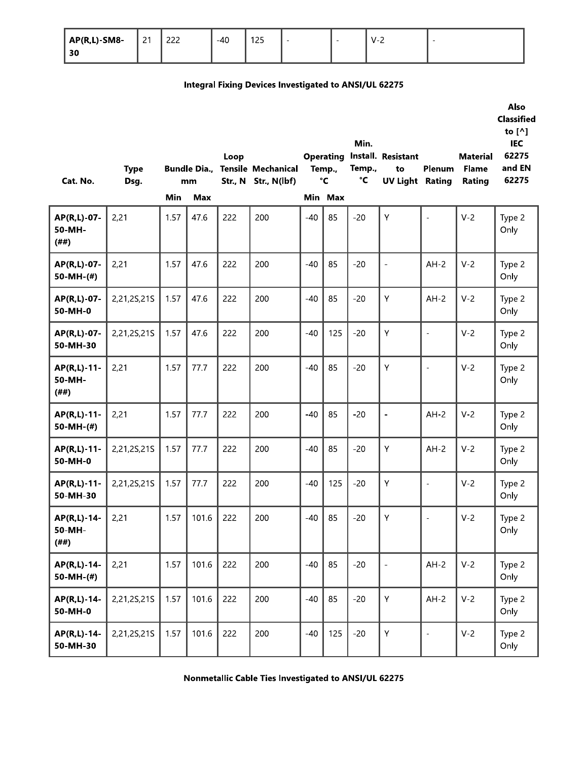| <b>AP(R,L)-SM8-</b> | $\sim$ $\sim$<br><u>_</u> | $\sim$<br>ے ے | $-40$ | 12E<br>∣∠ ⊃ | $\overline{\phantom{a}}$ | - | V-∠ | $\overline{\phantom{0}}$ |
|---------------------|---------------------------|---------------|-------|-------------|--------------------------|---|-----|--------------------------|
| 30                  |                           |               |       |             |                          |   |     |                          |

#### **Integral Fixing Devices Investigated to ANSI/UL 62275**

| Cat. No.                        | <b>Type</b><br>Dsg. |      | <b>Bundle Dia.,</b><br>mm | Loop | <b>Tensile Mechanical</b><br>Str., N Str., N(lbf) |       | <b>Operating</b><br>Temp.,<br>$\mathbf{C}$ | Min.<br>Temp.,<br>°C | Install. Resistant<br>to<br><b>UV Light Rating</b> | Plenum                   | <b>Material</b><br><b>Flame</b><br>Rating | Also<br><b>Classified</b><br>to $[^{\wedge}]$<br><b>IEC</b><br>62275<br>and EN<br>62275 |
|---------------------------------|---------------------|------|---------------------------|------|---------------------------------------------------|-------|--------------------------------------------|----------------------|----------------------------------------------------|--------------------------|-------------------------------------------|-----------------------------------------------------------------------------------------|
|                                 |                     | Min  | <b>Max</b>                |      |                                                   |       | Min Max                                    |                      |                                                    |                          |                                           |                                                                                         |
| AP(R,L)-07-<br>50-MH-<br>(##)   | 2,21                | 1.57 | 47.6                      | 222  | 200                                               | $-40$ | 85                                         | $-20$                | Y                                                  | $\overline{\phantom{a}}$ | $V-2$                                     | Type 2<br>Only                                                                          |
| AP(R,L)-07-<br>50-MH- $($ # $)$ | 2,21                | 1.57 | 47.6                      | 222  | 200                                               | $-40$ | 85                                         | $-20$                |                                                    | $AH-2$                   | $V-2$                                     | Type 2<br>Only                                                                          |
| AP(R,L)-07-<br>50-MH-0          | 2,21,2S,21S         | 1.57 | 47.6                      | 222  | 200                                               | $-40$ | 85                                         | $-20$                | Υ                                                  | $AH-2$                   | $V-2$                                     | Type 2<br>Only                                                                          |
| AP(R,L)-07-<br>50-MH-30         | 2,21,2S,21S         | 1.57 | 47.6                      | 222  | 200                                               | $-40$ | 125                                        | $-20$                | Y                                                  | $\blacksquare$           | $V-2$                                     | Type 2<br>Only                                                                          |
| AP(R,L)-11-<br>50-MH-<br>(##)   | 2,21                | 1.57 | 77.7                      | 222  | 200                                               | $-40$ | 85                                         | $-20$                | Y                                                  | $\overline{\phantom{a}}$ | $V-2$                                     | Type 2<br>Only                                                                          |
| AP(R,L)-11-<br>50-MH- $($ # $)$ | 2,21                | 1.57 | 77.7                      | 222  | 200                                               | $-40$ | 85                                         | $-20$                | ÷,                                                 | $AH-2$                   | $V-2$                                     | Type 2<br>Only                                                                          |
| AP(R,L)-11-<br>50-MH-0          | 2,21,2S,21S         | 1.57 | 77.7                      | 222  | 200                                               | $-40$ | 85                                         | $-20$                | Y                                                  | $AH-2$                   | $V-2$                                     | Type 2<br>Only                                                                          |
| AP(R,L)-11-<br>50-MH-30         | 2,21,2S,21S         | 1.57 | 77.7                      | 222  | 200                                               | $-40$ | 125                                        | $-20$                | Υ                                                  | $\bar{a}$                | $V-2$                                     | Type 2<br>Only                                                                          |
| AP(R,L)-14-<br>50-MH-<br>(##)   | 2,21                | 1.57 | 101.6                     | 222  | 200                                               | $-40$ | 85                                         | $-20$                | Υ                                                  | $\blacksquare$           | $V-2$                                     | Type 2<br>Only                                                                          |
| AP(R,L)-14-<br>50-MH-(#)        | 2,21                | 1.57 | 101.6                     | 222  | 200                                               | $-40$ | 85                                         | $-20$                | $\overline{\phantom{a}}$                           | $AH-2$                   | $V-2$                                     | Type 2<br>Only                                                                          |
| AP(R,L)-14-<br>50-MH-0          | 2,21,2S,21S         | 1.57 | 101.6                     | 222  | 200                                               | $-40$ | 85                                         | $-20$                | Y                                                  | $AH-2$                   | $V-2$                                     | Type 2<br>Only                                                                          |
| AP(R,L)-14-<br>50-MH-30         | 2,21,2S,21S         | 1.57 | 101.6                     | 222  | 200                                               | $-40$ | 125                                        | $-20$                | $\bar{\mathsf{Y}}$                                 | $\bar{\phantom{a}}$      | $V-2$                                     | Type 2<br>Only                                                                          |
|                                 |                     |      |                           |      |                                                   |       |                                            |                      |                                                    |                          |                                           |                                                                                         |

Nonmetallic Cable Ties Investigated to ANSI/UL 62275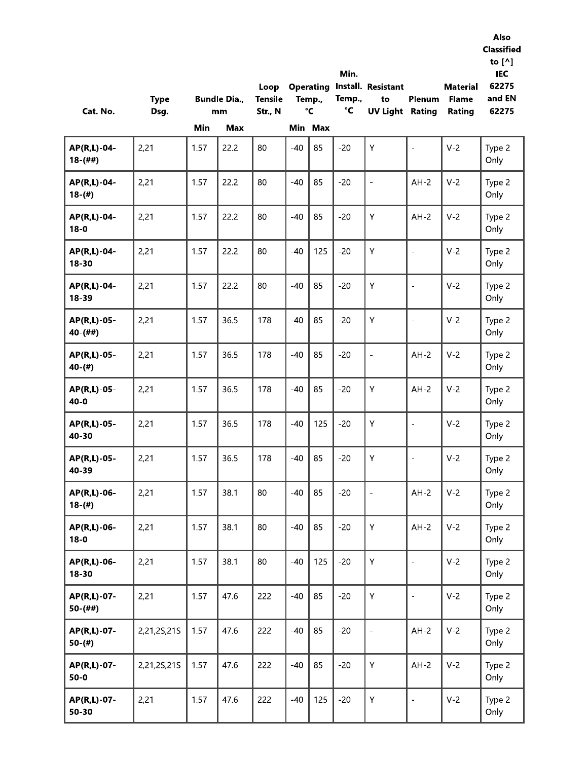| Cat. No.                 | <b>Type</b><br>Dsg. |      | <b>Bundle Dia.,</b><br>mm | Loop<br><b>Tensile</b><br>Str., N |       | Temp.,<br>$\mathbf{C}$ | Min.<br>Temp.,<br>°C | <b>Operating Install. Resistant</b><br>to<br><b>UV Light Rating</b> | Plenum                   | <b>Material</b><br><b>Flame</b><br>Rating | Also<br><b>Classified</b><br>to $[^{\wedge}]$<br>IEC<br>62275<br>and EN<br>62275 |
|--------------------------|---------------------|------|---------------------------|-----------------------------------|-------|------------------------|----------------------|---------------------------------------------------------------------|--------------------------|-------------------------------------------|----------------------------------------------------------------------------------|
|                          |                     | Min  | Max                       |                                   | $-40$ | Min Max<br>85          | $-20$                | Y                                                                   |                          | $V-2$                                     |                                                                                  |
| AP(R,L)-04-<br>$18-(##)$ | 2,21                | 1.57 | 22.2                      | 80                                |       |                        |                      |                                                                     | $\overline{\phantom{a}}$ |                                           | Type 2<br>Only                                                                   |
| AP(R,L)-04-<br>$18-(#)$  | 2,21                | 1.57 | 22.2                      | 80                                | $-40$ | 85                     | $-20$                | $\overline{\phantom{a}}$                                            | $AH-2$                   | $V-2$                                     | Type 2<br>Only                                                                   |
| AP(R,L)-04-<br>$18-0$    | 2,21                | 1.57 | 22.2                      | 80                                | $-40$ | 85                     | $-20$                | Y                                                                   | $AH-2$                   | $V-2$                                     | Type 2<br>Only                                                                   |
| AP(R,L)-04-<br>$18 - 30$ | 2,21                | 1.57 | 22.2                      | 80                                | $-40$ | 125                    | $-20$                | Y                                                                   | $\overline{\phantom{a}}$ | $V-2$                                     | Type 2<br>Only                                                                   |
| AP(R,L)-04-<br>18-39     | 2,21                | 1.57 | 22.2                      | 80                                | $-40$ | 85                     | $-20$                | Y                                                                   | $\equiv$                 | $V-2$                                     | Type 2<br>Only                                                                   |
| AP(R,L)-05-<br>$40-(##)$ | 2,21                | 1.57 | 36.5                      | 178                               | $-40$ | 85                     | $-20$                | Y                                                                   | $\bar{\phantom{a}}$      | $V-2$                                     | Type 2<br>Only                                                                   |
| AP(R,L)-05-<br>$40-(#)$  | 2,21                | 1.57 | 36.5                      | 178                               | $-40$ | 85                     | $-20$                | $\overline{\phantom{a}}$                                            | $AH-2$                   | $V-2$                                     | Type 2<br>Only                                                                   |
| AP(R,L)-05-<br>$40 - 0$  | 2,21                | 1.57 | 36.5                      | 178                               | $-40$ | 85                     | $-20$                | Y                                                                   | $AH-2$                   | $V-2$                                     | Type 2<br>Only                                                                   |
| AP(R,L)-05-<br>40-30     | 2,21                | 1.57 | 36.5                      | 178                               | $-40$ | 125                    | $-20$                | Y.                                                                  | $\frac{1}{2}$            | $V-2$                                     | Type 2<br>Only                                                                   |
| AP(R,L)-05-<br>40-39     | 2,21                | 1.57 | 36.5                      | 178                               | $-40$ | 85                     | $-20$                | Y                                                                   | $\equiv$                 | $V-2$                                     | Type 2<br>Only                                                                   |
| AP(R,L)-06-<br>$18-(#)$  | 2,21                | 1.57 | 38.1                      | 80                                | $-40$ | 85                     | $-20$                | $\blacksquare$                                                      | $AH-2$                   | $V-2$                                     | Type 2<br>Only                                                                   |
| AP(R,L)-06-<br>$18 - 0$  | 2,21                | 1.57 | 38.1                      | 80                                | $-40$ | 85                     | $-20$                | Ÿ                                                                   | $AH-2$                   | $V-2$                                     | Type 2<br>Only                                                                   |
| AP(R,L)-06-<br>$18 - 30$ | 2,21                | 1.57 | 38.1                      | 80                                | $-40$ | 125                    | $-20$                | Ÿ                                                                   | $\overline{\phantom{a}}$ | $V-2$                                     | Type 2<br>Only                                                                   |
| AP(R,L)-07-<br>$50-(##)$ | 2,21                | 1.57 | 47.6                      | 222                               | $-40$ | 85                     | $-20$                | Ÿ                                                                   | $\bar{ }$                | $V-2$                                     | Type 2<br>Only                                                                   |
| AP(R,L)-07-<br>$50-(*)$  | 2,21,2S,21S         | 1.57 | 47.6                      | 222                               | $-40$ | 85                     | $-20$                | $\overline{\phantom{a}}$                                            | $AH-2$                   | $V-2$                                     | Type 2<br>Only                                                                   |
| AP(R,L)-07-<br>$50-0$    | 2,21,2S,21S         | 1.57 | 47.6                      | 222                               | $-40$ | 85                     | $-20$                | $\bar{\mathsf{Y}}$                                                  | $AH-2$                   | $V-2$                                     | Type 2<br>Only                                                                   |
| AP(R,L)-07-<br>50-30     | 2,21                | 1.57 | 47.6                      | 222                               | $-40$ | 125                    | $-20$                | Y                                                                   | $\overline{\phantom{a}}$ | $V-2$                                     | Type 2<br>Only                                                                   |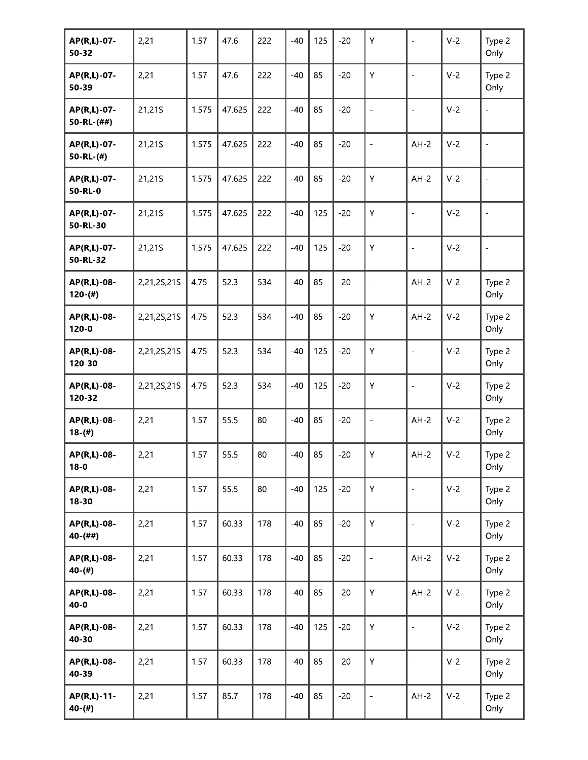| AP(R,L)-07-<br>50-32             | 2,21        | 1.57  | 47.6   | 222 | $-40$ | 125 | $-20$ | Υ                        | $\blacksquare$           | $V-2$ | Type 2<br>Only           |
|----------------------------------|-------------|-------|--------|-----|-------|-----|-------|--------------------------|--------------------------|-------|--------------------------|
| AP(R,L)-07-<br>50-39             | 2,21        | 1.57  | 47.6   | 222 | $-40$ | 85  | $-20$ | Υ                        | $\overline{\phantom{0}}$ | $V-2$ | Type 2<br>Only           |
| AP(R,L)-07-<br>$50 - R L - (##)$ | 21,21S      | 1.575 | 47.625 | 222 | $-40$ | 85  | $-20$ | $\qquad \qquad -$        | $\bar{\phantom{a}}$      | $V-2$ | $\overline{\phantom{a}}$ |
| AP(R,L)-07-<br>$50 - R L - (#)$  | 21,21S      | 1.575 | 47.625 | 222 | $-40$ | 85  | $-20$ | $\qquad \qquad -$        | $AH-2$                   | $V-2$ | $\overline{\phantom{a}}$ |
| AP(R,L)-07-<br>50-RL-0           | 21,21S      | 1.575 | 47.625 | 222 | $-40$ | 85  | $-20$ | Υ                        | $AH-2$                   | $V-2$ | $\overline{\phantom{a}}$ |
| AP(R,L)-07-<br>50-RL-30          | 21,21S      | 1.575 | 47.625 | 222 | $-40$ | 125 | $-20$ | Υ                        | $\bar{a}$                | $V-2$ | $\overline{\phantom{a}}$ |
| AP(R,L)-07-<br>50-RL-32          | 21,21S      | 1.575 | 47.625 | 222 | $-40$ | 125 | $-20$ | Υ                        | ÷,                       | $V-2$ | $\overline{\phantom{a}}$ |
| AP(R,L)-08-<br>$120-(#)$         | 2,21,2S,21S | 4.75  | 52.3   | 534 | $-40$ | 85  | $-20$ | $\frac{1}{2}$            | $AH-2$                   | $V-2$ | Type 2<br>Only           |
| AP(R,L)-08-<br>$120 - 0$         | 2,21,2S,21S | 4.75  | 52.3   | 534 | $-40$ | 85  | $-20$ | Υ                        | $AH-2$                   | $V-2$ | Type 2<br>Only           |
| AP(R,L)-08-<br>120-30            | 2,21,2S,21S | 4.75  | 52.3   | 534 | $-40$ | 125 | $-20$ | Υ                        | $\overline{a}$           | $V-2$ | Type 2<br>Only           |
| AP(R,L)-08-<br>120-32            | 2,21,2S,21S | 4.75  | 52.3   | 534 | $-40$ | 125 | $-20$ | Υ                        | $\frac{1}{2}$            | $V-2$ | Type 2<br>Only           |
| AP(R,L)-08-<br>$18-(#)$          | 2,21        | 1.57  | 55.5   | 80  | $-40$ | 85  | $-20$ | $\overline{\phantom{a}}$ | $AH-2$                   | $V-2$ | Type 2<br>Only           |
| AP(R,L)-08-<br>$18 - 0$          | 2,21        | 1.57  | 55.5   | 80  | $-40$ | 85  | $-20$ | Υ                        | $AH-2$                   | $V-2$ | Type 2<br>Only           |
| AP(R,L)-08-<br>$18 - 30$         | 2,21        | 1.57  | 55.5   | 80  | $-40$ | 125 | $-20$ | Υ                        | $\overline{a}$           | $V-2$ | Type 2<br>Only           |
| AP(R,L)-08-<br>$40-(##)$         | 2,21        | 1.57  | 60.33  | 178 | $-40$ | 85  | $-20$ | Υ                        | $\blacksquare$           | $V-2$ | Type 2<br>Only           |
| AP(R,L)-08-<br>$40-(#)$          | 2,21        | 1.57  | 60.33  | 178 | $-40$ | 85  | $-20$ | $\overline{\phantom{a}}$ | $AH-2$                   | $V-2$ | Type 2<br>Only           |
| AP(R,L)-08-<br>$40 - 0$          | 2,21        | 1.57  | 60.33  | 178 | $-40$ | 85  | $-20$ | Υ                        | $AH-2$                   | $V-2$ | Type 2<br>Only           |
| AP(R,L)-08-<br>40-30             | 2,21        | 1.57  | 60.33  | 178 | $-40$ | 125 | $-20$ | Υ                        | $\frac{1}{2}$            | $V-2$ | Type 2<br>Only           |
| AP(R,L)-08-<br>40-39             | 2,21        | 1.57  | 60.33  | 178 | $-40$ | 85  | $-20$ | Υ                        | $\Box$                   | $V-2$ | Type 2<br>Only           |
| AP(R,L)-11-<br>$40-(#)$          | 2,21        | 1.57  | 85.7   | 178 | $-40$ | 85  | $-20$ | $\equiv$                 | $AH-2$                   | $V-2$ | Type 2<br>Only           |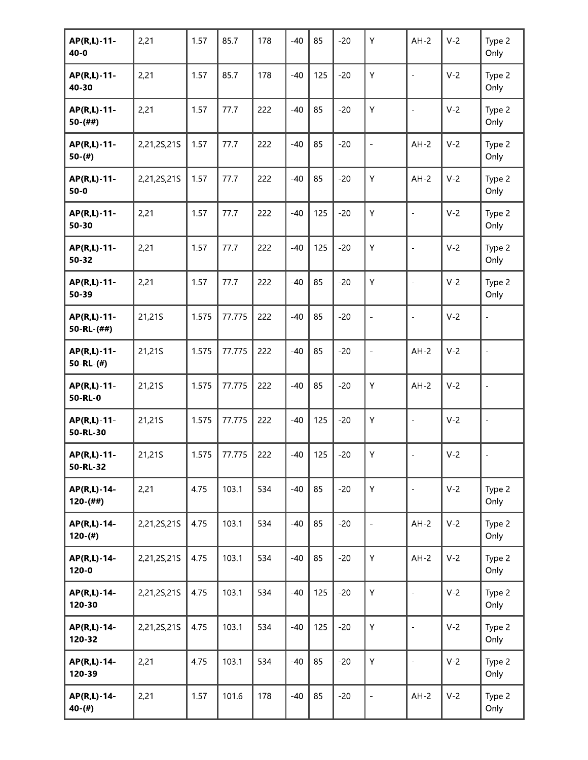| AP(R,L)-11-<br>$40 - 0$          | 2,21        | 1.57  | 85.7   | 178 | $-40$ | 85  | $-20$ | Y                        | $AH-2$                   | $V-2$ | Type 2<br>Only           |
|----------------------------------|-------------|-------|--------|-----|-------|-----|-------|--------------------------|--------------------------|-------|--------------------------|
| AP(R,L)-11-<br>40-30             | 2,21        | 1.57  | 85.7   | 178 | $-40$ | 125 | $-20$ | Y                        | $\overline{\phantom{a}}$ | $V-2$ | Type 2<br>Only           |
| AP(R,L)-11-<br>$50-(##)$         | 2,21        | 1.57  | 77.7   | 222 | $-40$ | 85  | $-20$ | Υ                        | $\overline{\phantom{a}}$ | $V-2$ | Type 2<br>Only           |
| AP(R,L)-11-<br>$50-(#)$          | 2,21,2S,21S | 1.57  | 77.7   | 222 | $-40$ | 85  | $-20$ | $\blacksquare$           | $AH-2$                   | $V-2$ | Type 2<br>Only           |
| AP(R,L)-11-<br>$50-0$            | 2,21,2S,21S | 1.57  | 77.7   | 222 | $-40$ | 85  | $-20$ | Υ                        | $AH-2$                   | $V-2$ | Type 2<br>Only           |
| AP(R,L)-11-<br>50-30             | 2,21        | 1.57  | 77.7   | 222 | $-40$ | 125 | $-20$ | Υ                        | $\overline{\phantom{a}}$ | $V-2$ | Type 2<br>Only           |
| AP(R,L)-11-<br>50-32             | 2,21        | 1.57  | 77.7   | 222 | $-40$ | 125 | $-20$ | Υ                        | $\bar{\phantom{a}}$      | $V-2$ | Type 2<br>Only           |
| AP(R,L)-11-<br>50-39             | 2,21        | 1.57  | 77.7   | 222 | $-40$ | 85  | $-20$ | Υ                        | $\blacksquare$           | $V-2$ | Type 2<br>Only           |
| AP(R,L)-11-<br>50-RL-(##)        | 21,21S      | 1.575 | 77.775 | 222 | $-40$ | 85  | $-20$ | $\overline{\phantom{a}}$ | $\blacksquare$           | $V-2$ | $\overline{\phantom{a}}$ |
| AP(R,L)-11-<br>$50 - R L - (\#)$ | 21,21S      | 1.575 | 77.775 | 222 | $-40$ | 85  | $-20$ | $\overline{\phantom{a}}$ | $AH-2$                   | $V-2$ | $\overline{\phantom{a}}$ |
| AP(R,L)-11-<br>50-RL-0           | 21,21S      | 1.575 | 77.775 | 222 | $-40$ | 85  | $-20$ | Υ                        | $AH-2$                   | $V-2$ | $\blacksquare$           |
| AP(R,L)-11-<br>50-RL-30          | 21,21S      | 1.575 | 77.775 | 222 | $-40$ | 125 | $-20$ | Υ                        | $\blacksquare$           | $V-2$ | $\bar{\phantom{a}}$      |
| AP(R,L)-11-<br>50-RL-32          | 21,21S      | 1.575 | 77.775 | 222 | $-40$ | 125 | $-20$ | Υ                        |                          | $V-2$ |                          |
| AP(R,L)-14-<br>$120-(##)$        | 2,21        | 4.75  | 103.1  | 534 | $-40$ | 85  | $-20$ | Y                        | $\overline{\phantom{a}}$ | $V-2$ | Type 2<br>Only           |
| AP(R,L)-14-<br>$120-(#)$         | 2,21,2S,21S | 4.75  | 103.1  | 534 | $-40$ | 85  | $-20$ | $\Box$                   | $AH-2$                   | $V-2$ | Type 2<br>Only           |
| AP(R,L)-14-<br>$120 - 0$         | 2,21,2S,21S | 4.75  | 103.1  | 534 | $-40$ | 85  | $-20$ | Υ                        | $AH-2$                   | $V-2$ | Type 2<br>Only           |
| AP(R,L)-14-<br>120-30            | 2,21,2S,21S | 4.75  | 103.1  | 534 | $-40$ | 125 | $-20$ | Y                        | $\frac{1}{2}$            | $V-2$ | Type 2<br>Only           |
| AP(R,L)-14-<br>120-32            | 2,21,2S,21S | 4.75  | 103.1  | 534 | $-40$ | 125 | $-20$ | Y                        | $\frac{1}{2}$            | $V-2$ | Type 2<br>Only           |
| AP(R,L)-14-<br>120-39            | 2,21        | 4.75  | 103.1  | 534 | $-40$ | 85  | $-20$ | Y                        | $\overline{\phantom{a}}$ | $V-2$ | Type 2<br>Only           |
| AP(R,L)-14-<br>$40-(#)$          | 2,21        | 1.57  | 101.6  | 178 | $-40$ | 85  | $-20$ | $\Box$                   | $AH-2$                   | $V-2$ | Type 2<br>Only           |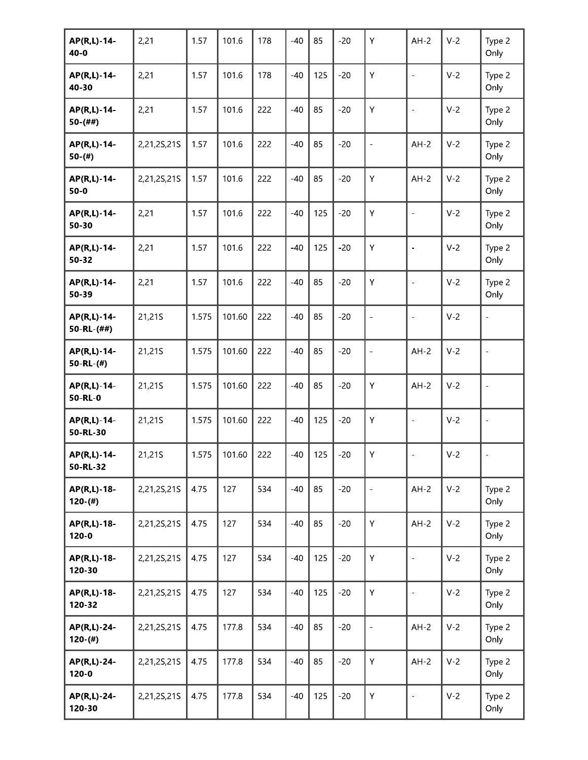| AP(R,L)-14-<br>$40 - 0$          | 2,21        | 1.57  | 101.6  | 178 | $-40$ | 85  | $-20$ | Υ                        | $AH-2$                   | $V-2$ | Type 2<br>Only           |
|----------------------------------|-------------|-------|--------|-----|-------|-----|-------|--------------------------|--------------------------|-------|--------------------------|
| AP(R,L)-14-<br>40-30             | 2,21        | 1.57  | 101.6  | 178 | $-40$ | 125 | $-20$ | Υ                        | $\overline{\phantom{0}}$ | $V-2$ | Type 2<br>Only           |
| AP(R,L)-14-<br>$50-(##)$         | 2,21        | 1.57  | 101.6  | 222 | $-40$ | 85  | $-20$ | Υ                        | $\bar{\phantom{a}}$      | $V-2$ | Type 2<br>Only           |
| AP(R,L)-14-<br>$50-(#)$          | 2,21,2S,21S | 1.57  | 101.6  | 222 | $-40$ | 85  | $-20$ | $\qquad \qquad -$        | $AH-2$                   | $V-2$ | Type 2<br>Only           |
| AP(R,L)-14-<br>$50-0$            | 2,21,2S,21S | 1.57  | 101.6  | 222 | $-40$ | 85  | $-20$ | Υ                        | $AH-2$                   | $V-2$ | Type 2<br>Only           |
| AP(R,L)-14-<br>50-30             | 2,21        | 1.57  | 101.6  | 222 | $-40$ | 125 | $-20$ | Υ                        | $\bar{a}$                | $V-2$ | Type 2<br>Only           |
| AP(R,L)-14-<br>50-32             | 2,21        | 1.57  | 101.6  | 222 | $-40$ | 125 | $-20$ | Υ                        | ÷,                       | $V-2$ | Type 2<br>Only           |
| AP(R,L)-14-<br>50-39             | 2,21        | 1.57  | 101.6  | 222 | $-40$ | 85  | $-20$ | Υ                        | $\frac{1}{2}$            | $V-2$ | Type 2<br>Only           |
| AP(R,L)-14-<br>50-RL-(##)        | 21,21S      | 1.575 | 101.60 | 222 | $-40$ | 85  | $-20$ | $\overline{\phantom{a}}$ | $\overline{\phantom{a}}$ | $V-2$ |                          |
| AP(R,L)-14-<br>$50 - R L - (\#)$ | 21,21S      | 1.575 | 101.60 | 222 | $-40$ | 85  | $-20$ | $\overline{\phantom{a}}$ | $AH-2$                   | $V-2$ | $\frac{1}{2}$            |
| AP(R,L)-14-<br>50-RL-0           | 21,21S      | 1.575 | 101.60 | 222 | $-40$ | 85  | $-20$ | Υ                        | $AH-2$                   | $V-2$ | $\overline{a}$           |
| AP(R,L)-14-<br>50-RL-30          | 21,21S      | 1.575 | 101.60 | 222 | $-40$ | 125 | $-20$ | Υ                        | $\frac{1}{2}$            | $V-2$ | $\overline{\phantom{a}}$ |
| AP(R,L)-14-<br>50-RL-32          | 21,21S      | 1.575 | 101.60 | 222 | $-40$ | 125 | $-20$ | Υ                        |                          | $V-2$ |                          |
| AP(R,L)-18-<br>$120-(#)$         | 2,21,2S,21S | 4.75  | 127    | 534 | $-40$ | 85  | $-20$ | $\equiv$                 | $AH-2$                   | $V-2$ | Type 2<br>Only           |
| AP(R,L)-18-<br>$120 - 0$         | 2,21,2S,21S | 4.75  | 127    | 534 | $-40$ | 85  | $-20$ | Υ                        | $AH-2$                   | $V-2$ | Type 2<br>Only           |
| AP(R,L)-18-<br>120-30            | 2,21,2S,21S | 4.75  | 127    | 534 | $-40$ | 125 | $-20$ | Υ                        | $\equiv$                 | $V-2$ | Type 2<br>Only           |
| AP(R,L)-18-<br>120-32            | 2,21,2S,21S | 4.75  | 127    | 534 | $-40$ | 125 | $-20$ | Υ                        | $\bar{\phantom{a}}$      | $V-2$ | Type 2<br>Only           |
| AP(R,L)-24-<br>$120-(#)$         | 2,21,2S,21S | 4.75  | 177.8  | 534 | $-40$ | 85  | $-20$ | $\equiv$                 | $AH-2$                   | $V-2$ | Type 2<br>Only           |
| AP(R,L)-24-<br>$120 - 0$         | 2,21,2S,21S | 4.75  | 177.8  | 534 | $-40$ | 85  | $-20$ | Υ                        | $AH-2$                   | $V-2$ | Type 2<br>Only           |
| AP(R,L)-24-<br>120-30            | 2,21,2S,21S | 4.75  | 177.8  | 534 | $-40$ | 125 | $-20$ | Υ                        | ÷,                       | $V-2$ | Type 2<br>Only           |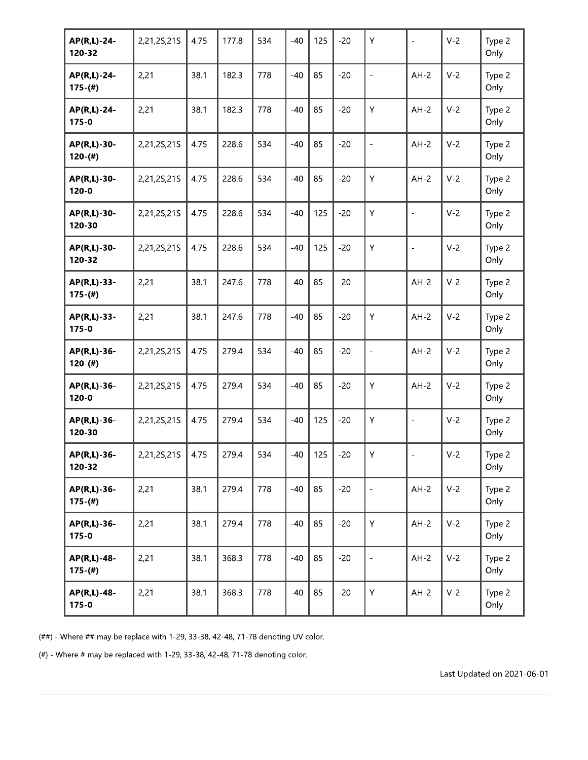| AP(R,L)-24-<br>120-32    | 2,21,2S,21S | 4.75 | 177.8 | 534 | $-40$ | 125 | $-20$ | Υ                            | $\bar{a}$                | $V-2$ | Type 2<br>Only |
|--------------------------|-------------|------|-------|-----|-------|-----|-------|------------------------------|--------------------------|-------|----------------|
| AP(R,L)-24-<br>$175-(#)$ | 2,21        | 38.1 | 182.3 | 778 | $-40$ | 85  | $-20$ | $\blacksquare$               | $AH-2$                   | $V-2$ | Type 2<br>Only |
| AP(R,L)-24-<br>$175 - 0$ | 2,21        | 38.1 | 182.3 | 778 | $-40$ | 85  | $-20$ | Υ                            | $AH-2$                   | $V-2$ | Type 2<br>Only |
| AP(R,L)-30-<br>$120-(#)$ | 2,21,2S,21S | 4.75 | 228.6 | 534 | $-40$ | 85  | $-20$ | $\qquad \qquad \blacksquare$ | $AH-2$                   | $V-2$ | Type 2<br>Only |
| AP(R,L)-30-<br>$120 - 0$ | 2,21,2S,21S | 4.75 | 228.6 | 534 | $-40$ | 85  | $-20$ | Υ                            | $AH-2$                   | $V-2$ | Type 2<br>Only |
| AP(R,L)-30-<br>120-30    | 2,21,2S,21S | 4.75 | 228.6 | 534 | $-40$ | 125 | $-20$ | Y                            | $\overline{\phantom{a}}$ | $V-2$ | Type 2<br>Only |
| AP(R,L)-30-<br>120-32    | 2,21,2S,21S | 4.75 | 228.6 | 534 | $-40$ | 125 | $-20$ | Υ                            | $\blacksquare$           | $V-2$ | Type 2<br>Only |
| AP(R,L)-33-<br>$175-(#)$ | 2,21        | 38.1 | 247.6 | 778 | $-40$ | 85  | $-20$ | $\overline{\phantom{a}}$     | $AH-2$                   | $V-2$ | Type 2<br>Only |
| AP(R,L)-33-<br>$175 - 0$ | 2,21        | 38.1 | 247.6 | 778 | $-40$ | 85  | $-20$ | Υ                            | $AH-2$                   | $V-2$ | Type 2<br>Only |
| AP(R,L)-36-<br>$120-(#)$ | 2,21,2S,21S | 4.75 | 279.4 | 534 | $-40$ | 85  | $-20$ | $\overline{\phantom{a}}$     | $AH-2$                   | $V-2$ | Type 2<br>Only |
| AP(R,L)-36-<br>$120 - 0$ | 2,21,2S,21S | 4.75 | 279.4 | 534 | $-40$ | 85  | $-20$ | Υ                            | $AH-2$                   | $V-2$ | Type 2<br>Only |
| AP(R,L)-36-<br>120-30    | 2,21,2S,21S | 4.75 | 279.4 | 534 | $-40$ | 125 | $-20$ | Υ                            | $\blacksquare$           | $V-2$ | Type 2<br>Only |
| AP(R,L)-36-<br>120-32    | 2,21,2S,21S | 4.75 | 279.4 | 534 | $-40$ | 125 | $-20$ | Υ                            |                          | $V-2$ | Type 2<br>Only |
| AP(R,L)-36-<br>$175-(#)$ | 2,21        | 38.1 | 279.4 | 778 | $-40$ | 85  | $-20$ | $\qquad \qquad \blacksquare$ | $AH-2$                   | $V-2$ | Type 2<br>Only |
| AP(R,L)-36-<br>$175 - 0$ | 2,21        | 38.1 | 279.4 | 778 | $-40$ | 85  | $-20$ | Y                            | $AH-2$                   | $V-2$ | Type 2<br>Only |
| AP(R,L)-48-<br>$175-(#)$ | 2,21        | 38.1 | 368.3 | 778 | $-40$ | 85  | $-20$ | $\qquad \qquad -$            | $AH-2$                   | $V-2$ | Type 2<br>Only |
| AP(R,L)-48-<br>$175 - 0$ | 2,21        | 38.1 | 368.3 | 778 | $-40$ | 85  | $-20$ | Y                            | $AH-2$                   | $V-2$ | Type 2<br>Only |

(##) - Where ## may be replace with 1-29, 33-38, 42-48, 71-78 denoting UV color.

(#) - Where # may be replaced with 1-29, 33-38, 42-48, 71-78 denoting color.